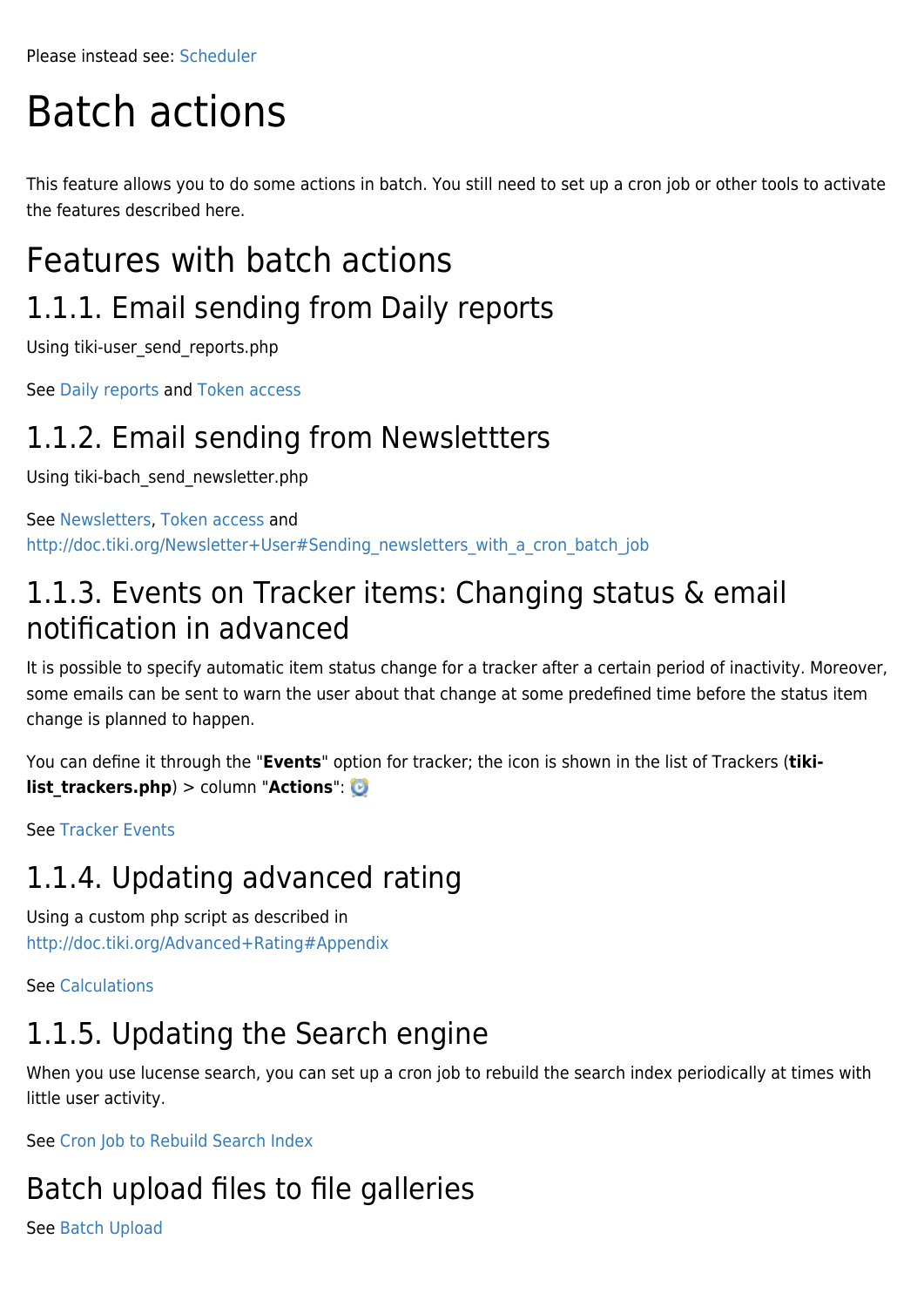Please instead see: [Scheduler](https://doc.tiki.org/Scheduler)

# Batch actions

This feature allows you to do some actions in batch. You still need to set up a cron job or other tools to activate the features described here.

# Features with batch actions 1.1.1. Email sending from Daily reports

Using tiki-user\_send\_reports.php

See [Daily reports](https://doc.tiki.org/Daily-Reports) and [Token access](https://doc.tiki.org/Token-Access)

#### 1.1.2. Email sending from Newslettters

Using tiki-bach\_send\_newsletter.php

See [Newsletters](https://doc.tiki.org/Newsletters), [Token access](https://doc.tiki.org/Token-Access) and [http://doc.tiki.org/Newsletter+User#Sending\\_newsletters\\_with\\_a\\_cron\\_batch\\_job](http://doc.tiki.org/Newsletter+User#Sending_newsletters_with_a_cron_batch_job)

#### 1.1.3. Events on Tracker items: Changing status & email notification in advanced

It is possible to specify automatic item status change for a tracker after a certain period of inactivity. Moreover, some emails can be sent to warn the user about that change at some predefined time before the status item change is planned to happen.

You can define it through the "**Events**" option for tracker; the icon is shown in the list of Trackers (**tikilist trackers.php**) > column "**Actions**":

See [Tracker Events](https://doc.tiki.org/Tracker-Events)

### 1.1.4. Updating advanced rating

Using a custom php script as described in <http://doc.tiki.org/Advanced+Rating#Appendix>

See [Calculations](https://doc.tiki.org/Calculations)

#### 1.1.5. Updating the Search engine

When you use lucense search, you can set up a cron job to rebuild the search index periodically at times with little user activity.

See [Cron Job to Rebuild Search Index](https://doc.tiki.org/Cron-Job-to-Rebuild-Search-Index)

### Batch upload files to file galleries

See [Batch Upload](https://doc.tiki.org/Batch-Upload)